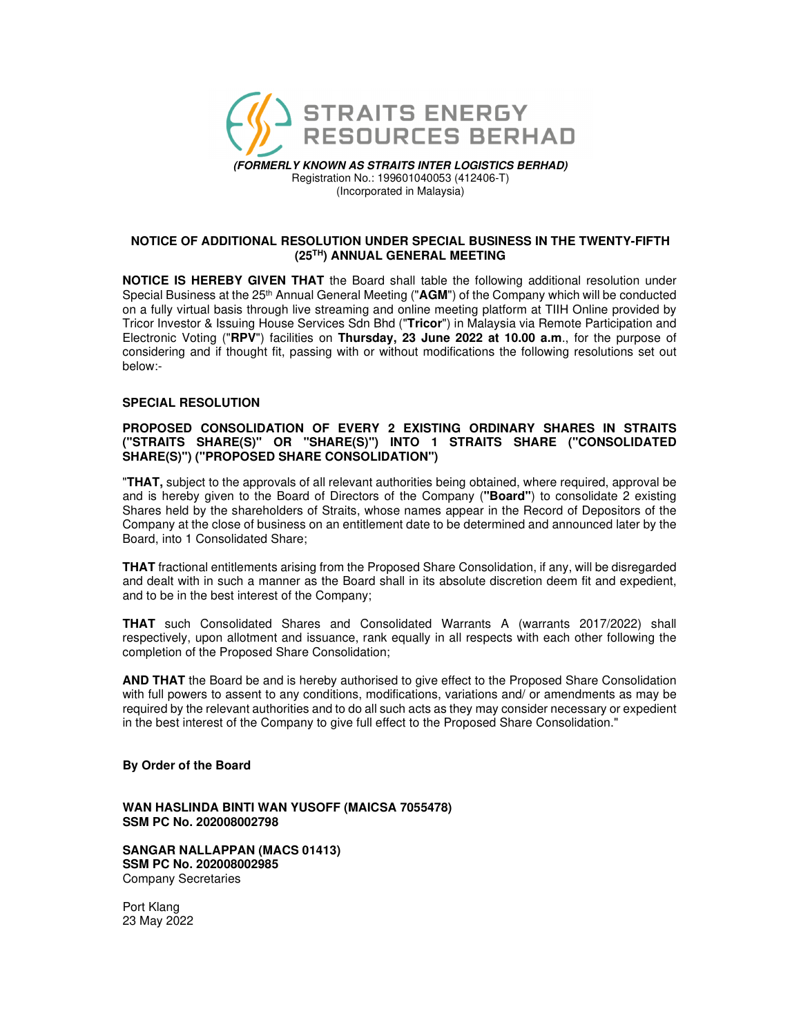

*(FORMERLY KNOWN AS STRAITS INTER LOGISTICS BERHAD)* Registration No.: 199601040053 (412406-T) (Incorporated in Malaysia)

# **NOTICE OF ADDITIONAL RESOLUTION UNDER SPECIAL BUSINESS IN THE TWENTY-FIFTH (25TH) ANNUAL GENERAL MEETING**

**NOTICE IS HEREBY GIVEN THAT** the Board shall table the following additional resolution under Special Business at the 25th Annual General Meeting ("**AGM**") of the Company which will be conducted on a fully virtual basis through live streaming and online meeting platform at TIIH Online provided by Tricor Investor & Issuing House Services Sdn Bhd ("**Tricor**") in Malaysia via Remote Participation and Electronic Voting ("**RPV**") facilities on **Thursday, 23 June 2022 at 10.00 a.m**., for the purpose of considering and if thought fit, passing with or without modifications the following resolutions set out below:-

# **SPECIAL RESOLUTION**

## **PROPOSED CONSOLIDATION OF EVERY 2 EXISTING ORDINARY SHARES IN STRAITS ("STRAITS SHARE(S)" OR "SHARE(S)") INTO 1 STRAITS SHARE ("CONSOLIDATED SHARE(S)") ("PROPOSED SHARE CONSOLIDATION")**

"**THAT,** subject to the approvals of all relevant authorities being obtained, where required, approval be and is hereby given to the Board of Directors of the Company (**"Board"**) to consolidate 2 existing Shares held by the shareholders of Straits, whose names appear in the Record of Depositors of the Company at the close of business on an entitlement date to be determined and announced later by the Board, into 1 Consolidated Share;

**THAT** fractional entitlements arising from the Proposed Share Consolidation, if any, will be disregarded and dealt with in such a manner as the Board shall in its absolute discretion deem fit and expedient, and to be in the best interest of the Company;

**THAT** such Consolidated Shares and Consolidated Warrants A (warrants 2017/2022) shall respectively, upon allotment and issuance, rank equally in all respects with each other following the completion of the Proposed Share Consolidation;

**AND THAT** the Board be and is hereby authorised to give effect to the Proposed Share Consolidation with full powers to assent to any conditions, modifications, variations and/ or amendments as may be required by the relevant authorities and to do all such acts as they may consider necessary or expedient in the best interest of the Company to give full effect to the Proposed Share Consolidation."

### **By Order of the Board**

**WAN HASLINDA BINTI WAN YUSOFF (MAICSA 7055478) SSM PC No. 202008002798** 

**SANGAR NALLAPPAN (MACS 01413) SSM PC No. 202008002985**  Company Secretaries

Port Klang 23 May 2022